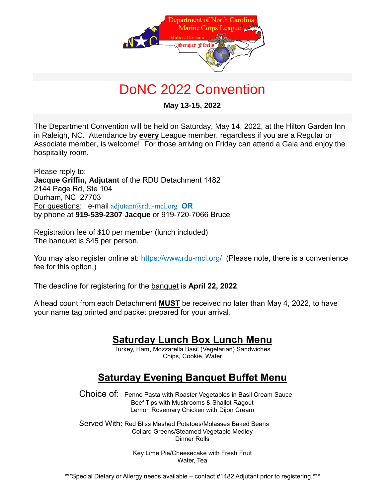

# DoNC 2022 Convention

**May 13-15, 2022**

The Department Convention will be held on Saturday, May 14, 2022, at the Hilton Garden Inn in Raleigh, NC. Attendance by **every** League member, regardless if you are a Regular or Associate member, is welcome! For those arriving on Friday can attend a Gala and enjoy the hospitality room.

Please reply to: **Jacque Griffin, Adjutant** of the RDU Detachment 1482 2144 Page Rd, Ste 104 Durham, NC 27703 For questions: e-mail [adjutant@rdu-mcl.org](mailto:adjutant@rdu-mcl.org) **OR** by phone at **919-539-2307 Jacque** or 919-720-7066 Bruce

Registration fee of \$10 per member (lunch included) The banquet is \$45 per person.

You may also register online at:<https://www.rdu-mcl.org/>(Please note, there is a convenience fee for this option.)

The deadline for registering for the banquet is **April 22, 2022**,

A head count from each Detachment **MUST** be received no later than May 4, 2022, to have your name tag printed and packet prepared for your arrival.

## **Saturday Lunch Box Lunch Menu**

Turkey, Ham, Mozzarella Basil (Vegetarian) Sandwiches Chips, Cookie, Water

# **Saturday Evening Banquet Buffet Menu**

Choice of: Penne Pasta with Roaster Vegetables in Basil Cream Sauce Beef Tips with Mushrooms & Shallot Ragout Lemon Rosemary Chicken with Dijon Cream

Served With: Red Bliss Mashed Potatoes/Molasses Baked Beans Collard Greens/Steamed Vegetable Medley Dinner Rolls

> Key Lime Pie/Cheesecake with Fresh Fruit Water, Tea

\*\*\*Special Dietary or Allergy needs available – contact #1482 Adjutant prior to registering. \*\*\*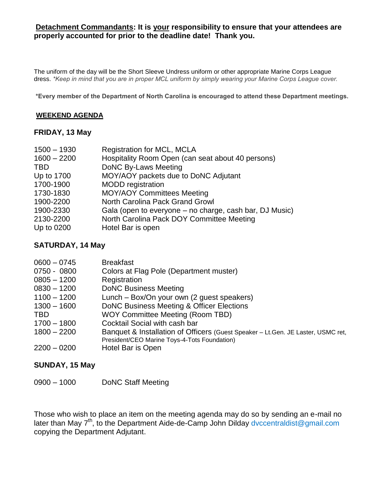#### **Detachment Commandants: It is your responsibility to ensure that your attendees are properly accounted for prior to the deadline date! Thank you.**

The uniform of the day will be the Short Sleeve Undress uniform or other appropriate Marine Corps League dress. *\*Keep in mind that you are in proper MCL uniform by simply wearing your Marine Corps League cover.*

**\*Every member of the Department of North Carolina is encouraged to attend these Department meetings.**

#### **WEEKEND AGENDA**

#### **FRIDAY, 13 May**

| $1500 - 1930$ | <b>Registration for MCL, MCLA</b>                       |
|---------------|---------------------------------------------------------|
| $1600 - 2200$ | Hospitality Room Open (can seat about 40 persons)       |
| <b>TBD</b>    | DoNC By-Laws Meeting                                    |
| Up to 1700    | MOY/AOY packets due to DoNC Adjutant                    |
| 1700-1900     | <b>MODD</b> registration                                |
| 1730-1830     | <b>MOY/AOY Committees Meeting</b>                       |
| 1900-2200     | North Carolina Pack Grand Growl                         |
| 1900-2330     | Gala (open to everyone – no charge, cash bar, DJ Music) |
| 2130-2200     | North Carolina Pack DOY Committee Meeting               |
| Up to 0200    | Hotel Bar is open                                       |
|               |                                                         |

#### **SATURDAY, 14 May**

| <b>Breakfast</b>                                                                 |
|----------------------------------------------------------------------------------|
| Colors at Flag Pole (Department muster)                                          |
| Registration                                                                     |
| <b>DoNC Business Meeting</b>                                                     |
| Lunch – Box/On your own (2 guest speakers)                                       |
| DoNC Business Meeting & Officer Elections                                        |
| <b>WOY Committee Meeting (Room TBD)</b>                                          |
| Cocktail Social with cash bar                                                    |
| Banquet & Installation of Officers (Guest Speaker - Lt.Gen. JE Laster, USMC ret, |
| President/CEO Marine Toys-4-Tots Foundation)                                     |
| Hotel Bar is Open                                                                |
|                                                                                  |

#### **SUNDAY, 15 May**

0900 – 1000 DoNC Staff Meeting

Those who wish to place an item on the meeting agenda may do so by sending an e-mail no later than May 7<sup>th</sup>, to the Department Aide-de-Camp John Dilday [dvccentraldist@gmail.com](mailto:dvccentraldist@gmail.com) copying the Department Adjutant.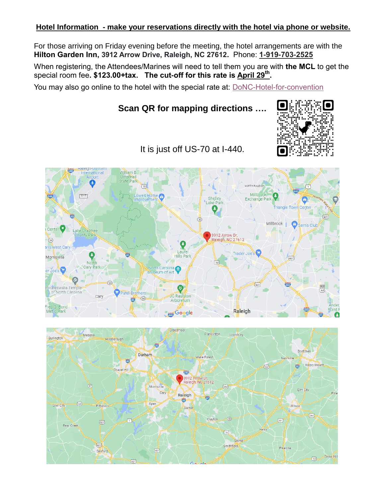#### **Hotel Information - make your reservations directly with the hotel via phone or website.**

For those arriving on Friday evening before the meeting, the hotel arrangements are with the **Hilton Garden Inn, 3912 Arrow Drive, Raleigh, NC 27612.** Phone: **1-919-703-2525**

When registering, the Attendees/Marines will need to tell them you are with **the MCL** to get the special room fee**. \$123.00+tax. The cut-off for this rate is April 29th .** 

You may also go online to the hotel with the special rate at: [DoNC-Hotel-for-convention](https://group.hiltongardeninn.com/m9h632)

### **Scan QR for mapping directions ….**



It is just off US-70 at I-440.